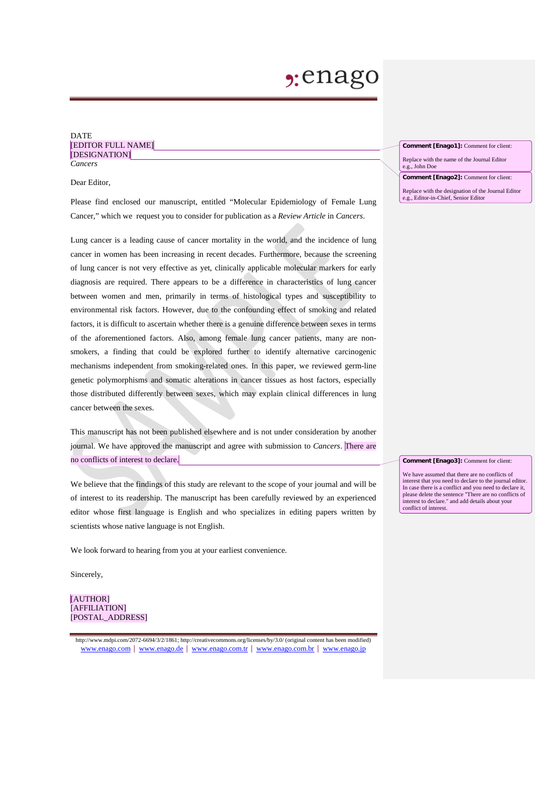## $2:$ enago

### DATE [EDITOR FULL NAME] [DESIGNATION] *Cancers*

Dear Editor,

Please find enclosed our manuscript, entitled "Molecular Epidemiology of Female Lung Cancer," which we request you to consider for publication as a *Review Article* in *Cancers*.

Lung cancer is a leading cause of cancer mortality in the world, and the incidence of lung cancer in women has been increasing in recent decades. Furthermore, because the screening of lung cancer is not very effective as yet, clinically applicable molecular markers for early diagnosis are required. There appears to be a difference in characteristics of lung cancer between women and men, primarily in terms of histological types and susceptibility to environmental risk factors. However, due to the confounding effect of smoking and related factors, it is difficult to ascertain whether there is a genuine difference between sexes in terms of the aforementioned factors. Also, among female lung cancer patients, many are nonsmokers, a finding that could be explored further to identify alternative carcinogenic mechanisms independent from smoking-related ones. In this paper, we reviewed germ-line genetic polymorphisms and somatic alterations in cancer tissues as host factors, especially those distributed differently between sexes, which may explain clinical differences in lung cancer between the sexes.

This manuscript has not been published elsewhere and is not under consideration by another journal. We have approved the manuscript and agree with submission to *Cancers*. There are no conflicts of interest to declare.

We believe that the findings of this study are relevant to the scope of your journal and will be of interest to its readership. The manuscript has been carefully reviewed by an experienced editor whose first language is English and who specializes in editing papers written by scientists whose native language is not English.

We look forward to hearing from you at your earliest convenience.

Sincerely,

[AUTHOR] [AFFILIATION] [POSTAL\_ADDRESS]

http://www.mdpi.com/2072-6694/3/2/1861; http://creativecommons.org/licenses/by/3.0/ (original content has been modified) [www.enago.com](http://www.enago.com/) | [www.enago.de](http://www.enago.de/) | [www.enago.com.tr](http://www.enago.com.tr/) | [www.enago.com.br](http://www.enago.com.br/) | [www.enago.jp](http://www.enago.jp/)

**Comment [Enago1]:** Comment for client: Replace with the name of the Journal Editor e.g., John Doe

**Comment [Enago2]:** Comment for client: Replace with the designation of the Journal Editor e.g., Editor-in-Chief, Senior Editor

**Comment [Enago3]:** Comment for client:

We have assumed that there are no conflicts of interest that you need to declare to the journal editor. In case there is a conflict and you need to declare it, please delete the sentence "There are no conflicts of interest to declare." and add details about your conflict of interest.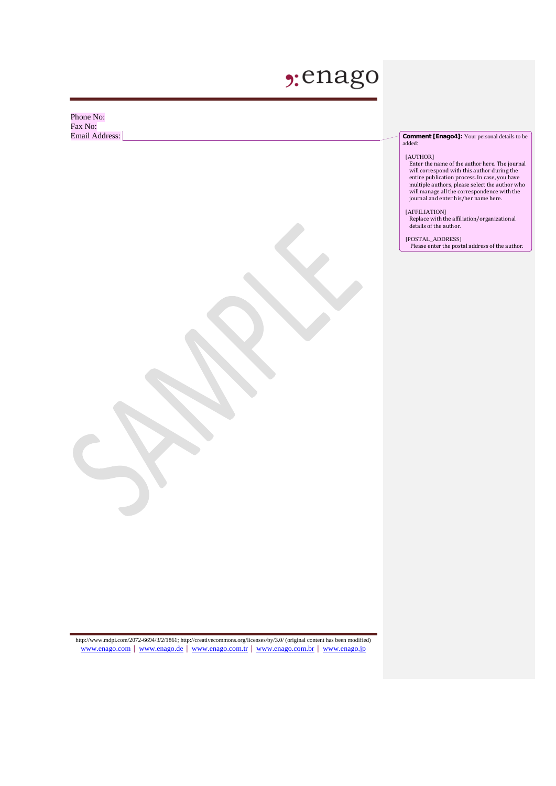# "enago

Phone No: Fax No:<br>Email Address:

**Comment [Enago4]:** Your personal details to be added:

### [AUTHOR]

Enter the name of the author here. The journal will correspond with this author during the entire publication process. In case, you have multiple authors, please select the author who will manage all the correspondence with the journal and enter his/her name here.

#### [AFFILIATION]

Replace with the affiliation/organizational details of the author.

[POSTAL\_ADDRESS]

Please enter the postal address of the author.

http://www.mdpi.com/2072-6694/3/2/1861; http://creativecommons.org/licenses/by/3.0/ (original content has been modified)<br>[www.enago.com](http://www.enago.com/) | [www.enago.de](http://www.enago.de/) | [www.enago.com.tr](http://www.enago.com.tr/) | [www.enago.com.br](http://www.enago.com.br/) | [www.enago.jp](http://www.enago.jp/)